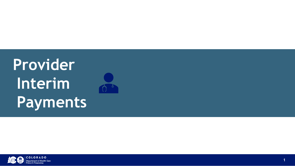# **Provider Interim Payments**





**COLORADO partment of Health Care Policy & Financing** 

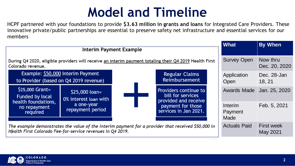## **Model and Timeline**

|                      |  | <b>What</b>                       | <b>By When</b>                |
|----------------------|--|-----------------------------------|-------------------------------|
|                      |  |                                   |                               |
| ealth First          |  | <b>Survey Open</b>                | Now thru<br>Dec. 20, 2020     |
| ns<br>nt:            |  | Application<br>Open               | Dec. 28-Jan<br>18, 21         |
| ue to<br>es<br>ceive |  | <b>Awards Made</b>                | Jan. 25, 2020                 |
| ose<br>.021.         |  | Interim<br>Payment<br><b>Made</b> | Feb. 5, 2021                  |
| \$50,000 in          |  | <b>Actuals Paid</b>               | <b>First week</b><br>May 2021 |

HCPF partnered with your foundations to provide **\$3.63 million in grants and loans** for Integrated Care Providers. These innovative private/public partnerships are essential to preserve safety net infrastructure and essential services for our members



The example demonstrates the value of the interim payment for a provider that received Health First Colorado Fee-for-service revenues in Q4 2019.



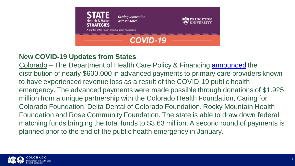

**Driving Innovation Across States** 



the Robert Wood Johnson Foundation

## **COVID-19**

## **New COVID-19 Updates from States**

Colorado – The Department of Health Care Policy & Financing [announced](https://urldefense.proofpoint.com/v2/url?u=https-3A__shvs.us4.list-2Dmanage.com_track_click-3Fu-3Db014b70d2c6d7c7d88fc19f7c-26id-3D663650eb03-26e-3D36809f1646&d=DwMFaQ&c=sdnEM9SRGFuMt5z5w3AhsPNahmNicq64TgF1JwNR0cs&r=HPiJAoYEBCaJfdSBEVq_qrGmD1D9hM-pWCi66AgOq3A&m=FRcVQEGwb5JFFsLjwXZiCw77LUZph-DXxwTcX2YD88Y&s=ANZPQrGgAcnmsDNWdiIOigCVbcv1p-5OpqNTXSPsLiY&e=) the distribution of nearly \$600,000 in advanced payments to primary care providers known to have experienced revenue loss as a result of the COVID-19 public health emergency. The advanced payments were made possible through donations of \$1.925 million from a unique partnership with the Colorado Health Foundation, Caring for Colorado Foundation, Delta Dental of Colorado Foundation, Rocky Mountain Health Foundation and Rose Community Foundation. The state is able to draw down federal matching funds bringing the total funds to \$3.63 million. A second round of payments is planned prior to the end of the public health emergency in January.

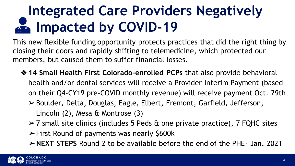## **Integrated Care Providers Negatively Impacted by COVID-19**

This new flexible funding opportunity protects practices that did the right thing by closing their doors and rapidly shifting to telemedicine, which protected our members, but caused them to suffer financial losses.

- ❖ **14 Small Health First Colorado-enrolled PCPs** that also provide behavioral health and/or dental services will receive a Provider Interim Payment (based on their Q4-CY19 pre-COVID monthly revenue) will receive payment Oct. 29th ➢Boulder, Delta, Douglas, Eagle, Elbert, Fremont, Garfield, Jefferson,
	- Lincoln (2), Mesa & Montrose (3)
	- ➢7 small site clinics (includes 5 Peds & one private practice), 7 FQHC sites
	- $\triangleright$  First Round of payments was nearly \$600k
	- ➢**NEXT STEPS** Round 2 to be available before the end of the PHE- Jan. 2021

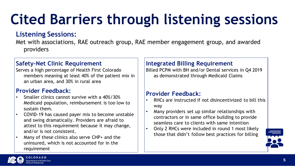# **Cited Barriers through listening sessions**

## **Listening Sessions:**

Met with associations, RAE outreach group, RAE member engagement group, and awarded providers

### **Safety-Net Clinic Requirement**

Serves a high percentage of Health First Colorado members meaning at least 40% of the patient mix in an urban area, and 30% in rural area

### **Provider Feedback:**

- Smaller clinics cannot survive with a 40%/30% Medicaid population, reimbursement is too low to sustain them.
- COVID-19 has caused payer mix to become unstable and swing dramatically. Providers are afraid to attest to this requirement because it may change, and/or is not consistent.
- Many of these clinics also serve CHP+ and the uninsured, which is not accounted for in the requirement

Many providers set up similar relationships with contractors or in same office building to provide seamless care to clients with same intention Only 2 RHCs were included in round 1 most likely those that didn't follow best practices for billing



### **Integrated Billing Requirement**

Billed PCPM with BH and/or Dental services in Q4 2019 as demonstrated through Medicaid Claims

### **Provider Feedback:**

• RHCs are instructed if not disincentivized to bill this

- way
- 
- 

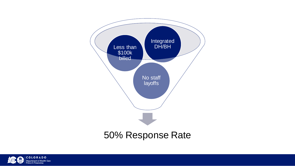



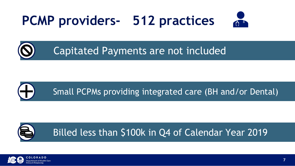## **PCMP providers- 512 practices**

## Capitated Payments are not included





Billed less than \$100k in Q4 of Calendar Year 2019







**7**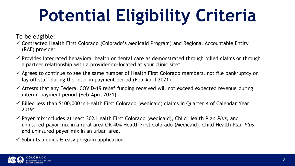# **Potential Eligibility Criteria**

- ✓ Contracted Health First Colorado (Colorado's Medicaid Program) and Regional Accountable Entity (RAE) provider
- $\checkmark$  Provides integrated behavioral health or dental care as demonstrated through billed claims or through a partner relationship with a provider co-located at your clinic site\*
- $\checkmark$  Agrees to continue to see the same number of Health First Colorado members, not file bankruptcy or lay off staff during the interim payment period (Feb-April 2021)
- $\checkmark$  Attests that any Federal COVID-19 relief funding received will not exceed expected revenue during interim payment period (Feb-April 2021)
- ✓ Billed less than \$100,000 in Health First Colorado (Medicaid) claims in Quarter 4 of Calendar Year 2019\*
- ✓ Payer mix includes at least 30% Health First Colorado (Medicaid), Child Health Plan *Plus*, and uninsured payor mix in a rural area OR 40% Health First Colorado (Medicaid), Child Health Plan *Plus* and uninsured payer mix in an urban area.
- $\checkmark$  Submits a quick & easy program application



To be eligible: